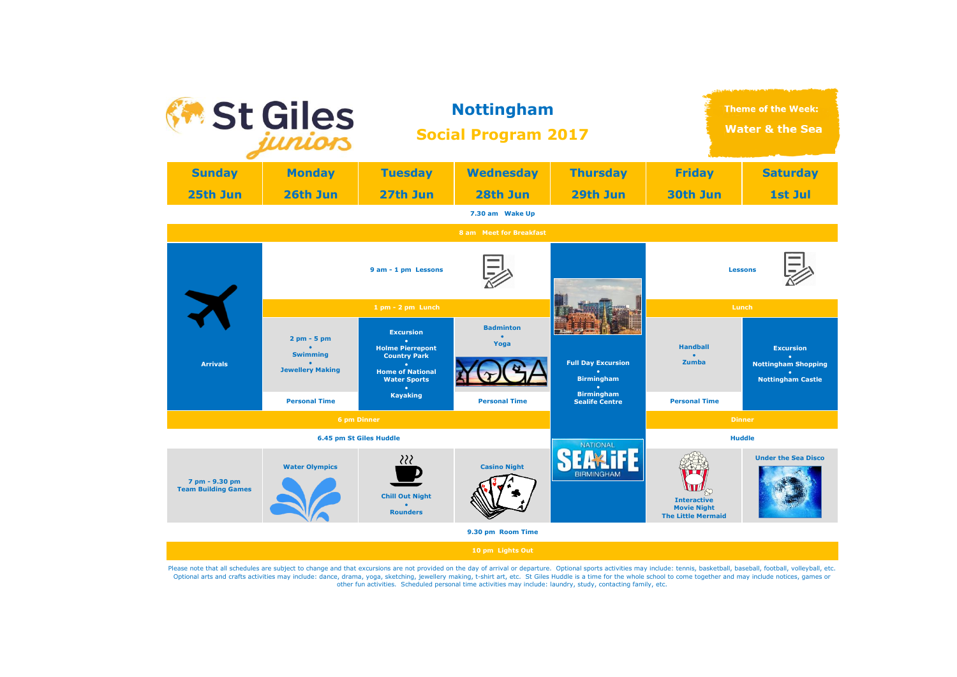

Please note that all schedules are subject to change and that excursions are not provided on the day of arrival or departure. Optional sports activities may include: tennis, basketball, baseball, football, volleyball, etc. Optional arts and crafts activities may include: dance, drama, yoga, sketching, jewellery making, t-shirt art, etc. St Giles Huddle is a time for the whole school to come together and may include notices, games or other fun activities. Scheduled personal time activities may include: laundry, study, contacting family, etc.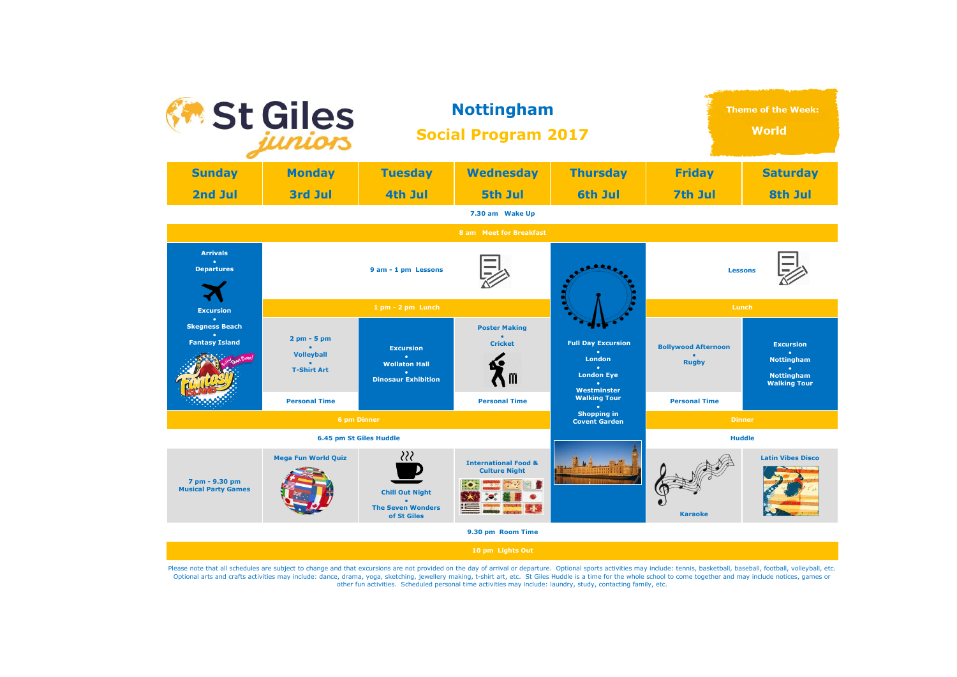

Please note that all schedules are subject to change and that excursions are not provided on the day of arrival or departure. Optional sports activities may include: tennis, basketball, baseball, football, volleyball, etc. Optional arts and crafts activities may include: dance, drama, yoga, sketching, jewellery making, t-shirt art, etc. St Giles Huddle is a time for the whole school to come together and may include notices, games or other fun activities. Scheduled personal time activities may include: laundry, study, contacting family, etc.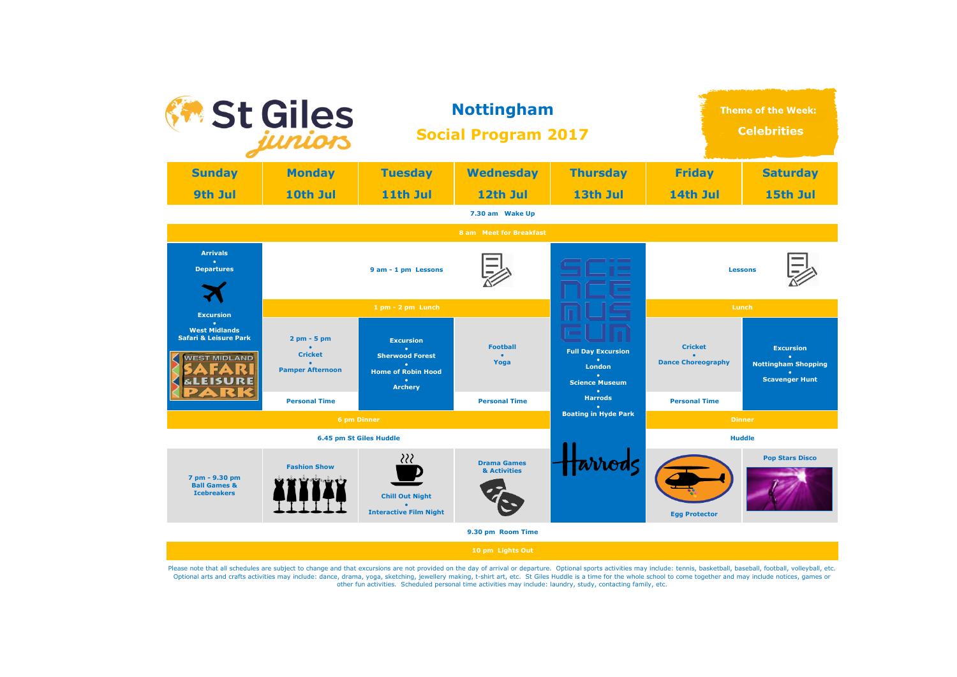

Please note that all schedules are subject to change and that excursions are not provided on the day of arrival or departure. Optional sports activities may include: tennis, basketball, baseball, football, volleyball, etc. Optional arts and crafts activities may include: dance, drama, yoga, sketching, jewellery making, t-shirt art, etc. St Giles Huddle is a time for the whole school to come together and may include notices, games or other fun activities. Scheduled personal time activities may include: laundry, study, contacting family, etc.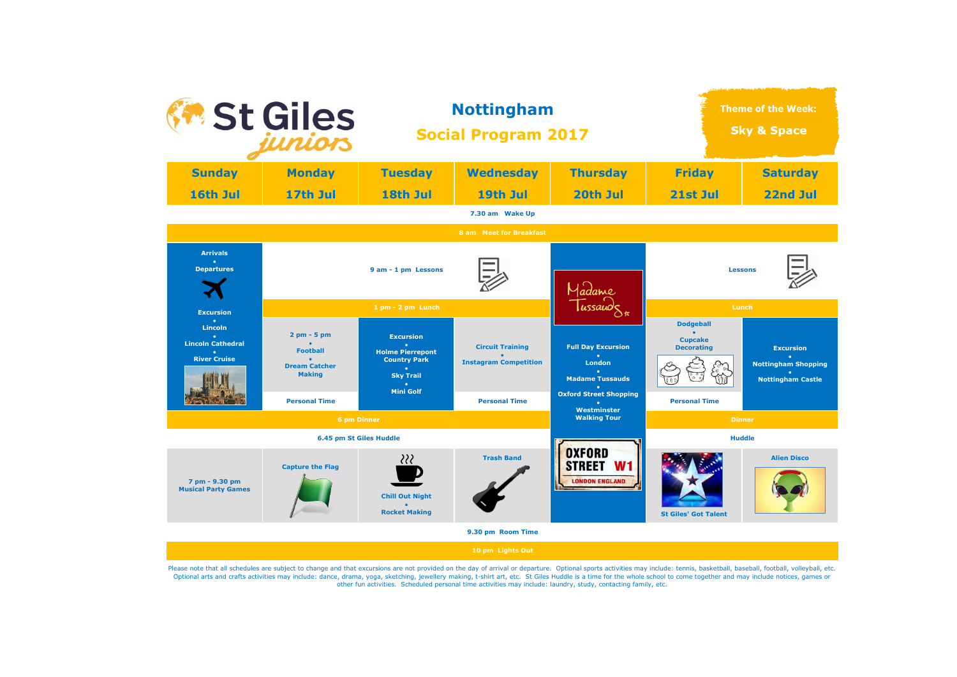

Please note that all schedules are subject to change and that excursions are not provided on the day of arrival or departure. Optional sports activities may include: tennis, basketball, baseball, football, volleyball, etc. Optional arts and crafts activities may include: dance, drama, yoga, sketching, jewellery making, t-shirt art, etc. St Giles Huddle is a time for the whole school to come together and may include notices, games or other fun activities. Scheduled personal time activities may include: laundry, study, contacting family, etc.